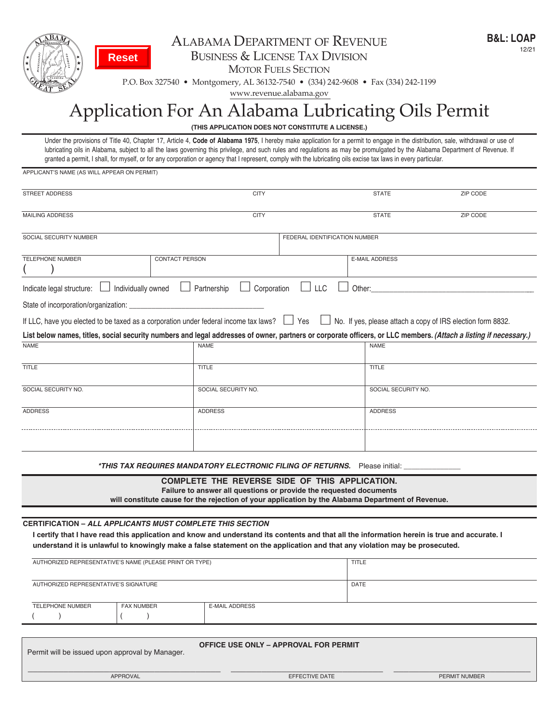

## ALABAMA DEPARTMENT OF REVENUE business & license tAx Division

MOTOR FUELS SECTION

p.o. box 327540 • montgomery, Al 36132-7540 • (334) 242-9608 • fax (334) 242-1199

www.revenue.alabama.gov

## Application For An Alabama Lubricating Oils Permit

**(THIS APPLICATION DOES NOT CONSTITUTE A LICENSE.)**

Under the provisions of Title 40, Chapter 17, Article 4, **Code of Alabama 1975**, I hereby make application for a permit to engage in the distribution, sale, withdrawal or use of lubricating oils in Alabama, subject to all the laws governing this privilege, and such rules and regulations as may be promulgated by the Alabama Department of Revenue. If granted a permit, I shall, for myself, or for any corporation or agency that I represent, comply with the lubricating oils excise tax laws in every particular.

APPLICANT'S NAME (AS WILL APPEAR ON PERMIT)

| <b>STREET ADDRESS</b>                                                                                                                                                                                                     | <b>CITY</b>                                                                                                                                                                                                                                                                |                               | <b>STATE</b>          | <b>ZIP CODE</b>                                                    |  |  |
|---------------------------------------------------------------------------------------------------------------------------------------------------------------------------------------------------------------------------|----------------------------------------------------------------------------------------------------------------------------------------------------------------------------------------------------------------------------------------------------------------------------|-------------------------------|-----------------------|--------------------------------------------------------------------|--|--|
| <b>MAILING ADDRESS</b>                                                                                                                                                                                                    | <b>CITY</b>                                                                                                                                                                                                                                                                |                               | <b>STATE</b>          | ZIP CODE                                                           |  |  |
| SOCIAL SECURITY NUMBER                                                                                                                                                                                                    |                                                                                                                                                                                                                                                                            | FEDERAL IDENTIFICATION NUMBER |                       |                                                                    |  |  |
|                                                                                                                                                                                                                           |                                                                                                                                                                                                                                                                            |                               |                       |                                                                    |  |  |
| <b>TELEPHONE NUMBER</b>                                                                                                                                                                                                   | CONTACT PERSON                                                                                                                                                                                                                                                             |                               | <b>E-MAIL ADDRESS</b> |                                                                    |  |  |
| Individually owned<br>Indicate legal structure:                                                                                                                                                                           | Partnership<br>Corporation                                                                                                                                                                                                                                                 | $\Box$ LLC<br>Other:          |                       |                                                                    |  |  |
| State of incorporation/organization:                                                                                                                                                                                      |                                                                                                                                                                                                                                                                            |                               |                       |                                                                    |  |  |
|                                                                                                                                                                                                                           | If LLC, have you elected to be taxed as a corporation under federal income tax laws?                                                                                                                                                                                       | $\Box$ Yes                    |                       | $\Box$ No. If yes, please attach a copy of IRS election form 8832. |  |  |
|                                                                                                                                                                                                                           | List below names, titles, social security numbers and legal addresses of owner, partners or corporate officers, or LLC members. (Attach a listing if necessary.)                                                                                                           |                               |                       |                                                                    |  |  |
| <b>NAME</b>                                                                                                                                                                                                               | <b>NAME</b>                                                                                                                                                                                                                                                                |                               | <b>NAME</b>           |                                                                    |  |  |
| <b>TITLE</b>                                                                                                                                                                                                              | TITLE                                                                                                                                                                                                                                                                      |                               | <b>TITLE</b>          |                                                                    |  |  |
| SOCIAL SECURITY NO.                                                                                                                                                                                                       | SOCIAL SECURITY NO.                                                                                                                                                                                                                                                        |                               | SOCIAL SECURITY NO.   |                                                                    |  |  |
| <b>ADDRESS</b>                                                                                                                                                                                                            | <b>ADDRESS</b>                                                                                                                                                                                                                                                             |                               | <b>ADDRESS</b>        |                                                                    |  |  |
|                                                                                                                                                                                                                           |                                                                                                                                                                                                                                                                            |                               |                       |                                                                    |  |  |
|                                                                                                                                                                                                                           | *THIS TAX REQUIRES MANDATORY ELECTRONIC FILING OF RETURNS. Please initial:                                                                                                                                                                                                 |                               |                       |                                                                    |  |  |
| COMPLETE THE REVERSE SIDE OF THIS APPLICATION.<br>Failure to answer all questions or provide the requested documents<br>will constitute cause for the rejection of your application by the Alabama Department of Revenue. |                                                                                                                                                                                                                                                                            |                               |                       |                                                                    |  |  |
|                                                                                                                                                                                                                           |                                                                                                                                                                                                                                                                            |                               |                       |                                                                    |  |  |
| <b>CERTIFICATION – ALL APPLICANTS MUST COMPLETE THIS SECTION</b>                                                                                                                                                          | I certify that I have read this application and know and understand its contents and that all the information herein is true and accurate. I<br>understand it is unlawful to knowingly make a false statement on the application and that any violation may be prosecuted. |                               |                       |                                                                    |  |  |
| AUTHORIZED REPRESENTATIVE'S NAME (PLEASE PRINT OR TYPE)                                                                                                                                                                   |                                                                                                                                                                                                                                                                            | <b>TITLE</b>                  |                       |                                                                    |  |  |
| AUTHORIZED REPRESENTATIVE'S SIGNATURE                                                                                                                                                                                     |                                                                                                                                                                                                                                                                            | DATE                          |                       |                                                                    |  |  |
| <b>TELEPHONE NUMBER</b><br><b>FAX NUMBER</b>                                                                                                                                                                              | <b>E-MAIL ADDRESS</b>                                                                                                                                                                                                                                                      |                               |                       |                                                                    |  |  |
|                                                                                                                                                                                                                           |                                                                                                                                                                                                                                                                            |                               |                       |                                                                    |  |  |
| Permit will be issued upon approval by Manager.                                                                                                                                                                           | <b>OFFICE USE ONLY - APPROVAL FOR PERMIT</b>                                                                                                                                                                                                                               |                               |                       |                                                                    |  |  |

\_\_\_\_\_\_\_\_\_\_\_\_\_\_\_\_\_\_\_\_\_\_\_\_\_\_\_\_\_\_\_\_\_\_\_\_\_\_ \_\_\_\_\_\_\_\_\_\_\_\_\_\_\_\_\_\_\_\_\_\_\_\_\_\_\_\_\_\_ \_\_\_\_\_\_\_\_\_\_\_\_\_\_\_\_\_\_\_\_\_\_\_\_\_\_\_ APPROVAL EFFECTIVE DATE PERMIT NUMBER